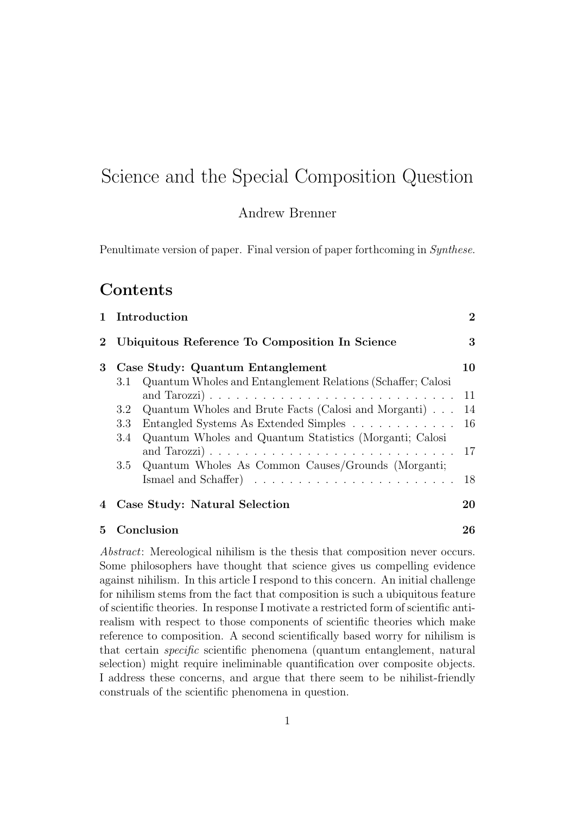# Science and the Special Composition Question

#### Andrew Brenner

Penultimate version of paper. Final version of paper forthcoming in Synthese.

### Contents

|          |                                                | 1 Introduction                                              | $\bf{2}$ |
|----------|------------------------------------------------|-------------------------------------------------------------|----------|
| $\bf{2}$ | Ubiquitous Reference To Composition In Science |                                                             | 3        |
| 3        |                                                | Case Study: Quantum Entanglement                            | 10       |
|          | 3.1                                            | Quantum Wholes and Entanglement Relations (Schaffer; Calosi |          |
|          |                                                |                                                             | 11       |
|          | $3.2^{\circ}$                                  | Quantum Wholes and Brute Facts (Calosi and Morganti)        | 14       |
|          | 3.3                                            | Entangled Systems As Extended Simples                       | 16       |
|          | 3.4                                            | Quantum Wholes and Quantum Statistics (Morganti; Calosi     |          |
|          |                                                |                                                             | 17       |
|          | 3.5                                            | Quantum Wholes As Common Causes/Grounds (Morganti;          |          |
|          |                                                |                                                             | 18       |
| 4        | Case Study: Natural Selection                  |                                                             | 20       |
| 5        |                                                | Conclusion                                                  | 26       |

Abstract: Mereological nihilism is the thesis that composition never occurs. Some philosophers have thought that science gives us compelling evidence against nihilism. In this article I respond to this concern. An initial challenge for nihilism stems from the fact that composition is such a ubiquitous feature of scientific theories. In response I motivate a restricted form of scientific antirealism with respect to those components of scientific theories which make reference to composition. A second scientifically based worry for nihilism is that certain specific scientific phenomena (quantum entanglement, natural selection) might require ineliminable quantification over composite objects. I address these concerns, and argue that there seem to be nihilist-friendly construals of the scientific phenomena in question.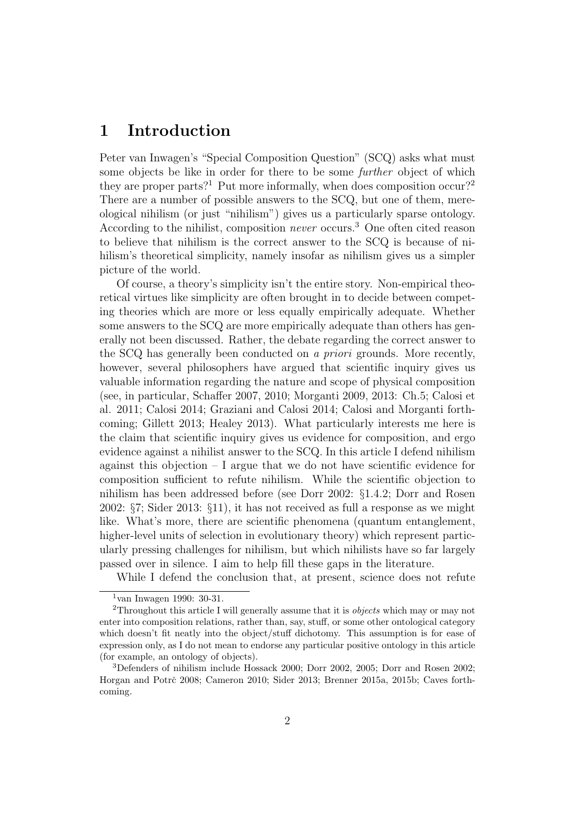## 1 Introduction

Peter van Inwagen's "Special Composition Question" (SCQ) asks what must some objects be like in order for there to be some further object of which they are proper parts?<sup>1</sup> Put more informally, when does composition occur?<sup>2</sup> There are a number of possible answers to the SCQ, but one of them, mereological nihilism (or just "nihilism") gives us a particularly sparse ontology. According to the nihilist, composition *never* occurs.<sup>3</sup> One often cited reason to believe that nihilism is the correct answer to the SCQ is because of nihilism's theoretical simplicity, namely insofar as nihilism gives us a simpler picture of the world.

Of course, a theory's simplicity isn't the entire story. Non-empirical theoretical virtues like simplicity are often brought in to decide between competing theories which are more or less equally empirically adequate. Whether some answers to the SCQ are more empirically adequate than others has generally not been discussed. Rather, the debate regarding the correct answer to the SCQ has generally been conducted on a priori grounds. More recently, however, several philosophers have argued that scientific inquiry gives us valuable information regarding the nature and scope of physical composition (see, in particular, Schaffer 2007, 2010; Morganti 2009, 2013: Ch.5; Calosi et al. 2011; Calosi 2014; Graziani and Calosi 2014; Calosi and Morganti forthcoming; Gillett 2013; Healey 2013). What particularly interests me here is the claim that scientific inquiry gives us evidence for composition, and ergo evidence against a nihilist answer to the SCQ. In this article I defend nihilism against this objection – I argue that we do not have scientific evidence for composition sufficient to refute nihilism. While the scientific objection to nihilism has been addressed before (see Dorr 2002: §1.4.2; Dorr and Rosen 2002: §7; Sider 2013: §11), it has not received as full a response as we might like. What's more, there are scientific phenomena (quantum entanglement, higher-level units of selection in evolutionary theory) which represent particularly pressing challenges for nihilism, but which nihilists have so far largely passed over in silence. I aim to help fill these gaps in the literature.

While I defend the conclusion that, at present, science does not refute

 $1$ van Inwagen 1990: 30-31.

<sup>&</sup>lt;sup>2</sup>Throughout this article I will generally assume that it is *objects* which may or may not enter into composition relations, rather than, say, stuff, or some other ontological category which doesn't fit neatly into the object/stuff dichotomy. This assumption is for ease of expression only, as I do not mean to endorse any particular positive ontology in this article (for example, an ontology of objects).

<sup>3</sup>Defenders of nihilism include Hossack 2000; Dorr 2002, 2005; Dorr and Rosen 2002; Horgan and Potrč 2008; Cameron 2010; Sider 2013; Brenner 2015a, 2015b; Caves forthcoming.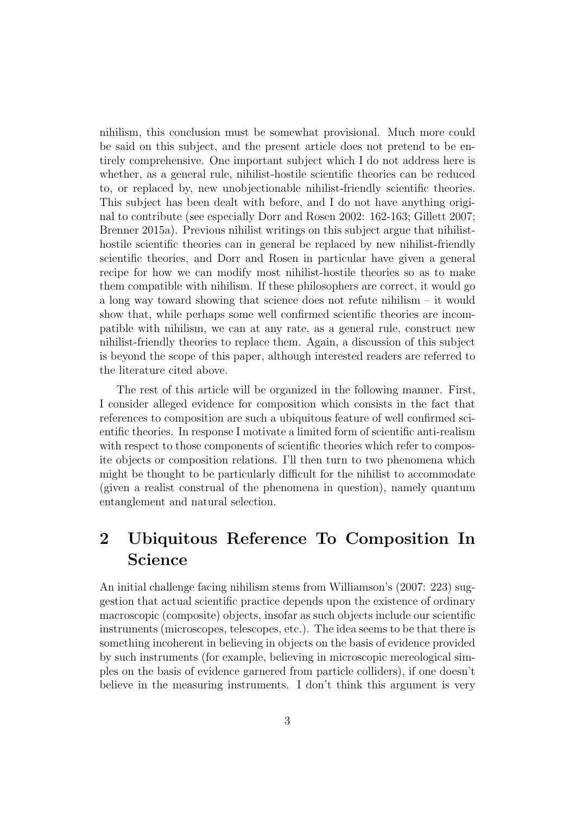nihilism, this conclusion must be somewhat provisional. Much more could be said on this subject, and the present article does not pretend to be entirely comprehensive. One important subject which I do not address here is whether, as a general rule, nihilist-hostile scientific theories can be reduced to, or replaced by, new unobjectionable nihilist-friendly scientific theories. This subject has been dealt with before, and I do not have anything original to contribute (see especially Dorr and Rosen 2002: 162-163; Gillett 2007; Brenner 2015a). Previous nihilist writings on this subject argue that nihilisthostile scientific theories can in general be replaced by new nihilist-friendly scientific theories, and Dorr and Rosen in particular have given a general recipe for how we can modify most nihilist-hostile theories so as to make them compatible with nihilism. If these philosophers are correct, it would go a long way toward showing that science does not refute nihilism – it would show that, while perhaps some well confirmed scientific theories are incompatible with nihilism, we can at any rate, as a general rule, construct new nihilist-friendly theories to replace them. Again, a discussion of this subject is beyond the scope of this paper, although interested readers are referred to the literature cited above.

The rest of this article will be organized in the following manner. First, I consider alleged evidence for composition which consists in the fact that references to composition are such a ubiquitous feature of well confirmed scientific theories. In response I motivate a limited form of scientific anti-realism with respect to those components of scientific theories which refer to composite objects or composition relations. I'll then turn to two phenomena which might be thought to be particularly difficult for the nihilist to accommodate (given a realist construal of the phenomena in question), namely quantum entanglement and natural selection.

# 2 Ubiquitous Reference To Composition In Science

An initial challenge facing nihilism stems from Williamson's (2007: 223) suggestion that actual scientific practice depends upon the existence of ordinary macroscopic (composite) objects, insofar as such objects include our scientific instruments (microscopes, telescopes, etc.). The idea seems to be that there is something incoherent in believing in objects on the basis of evidence provided by such instruments (for example, believing in microscopic mereological simples on the basis of evidence garnered from particle colliders), if one doesn't believe in the measuring instruments. I don't think this argument is very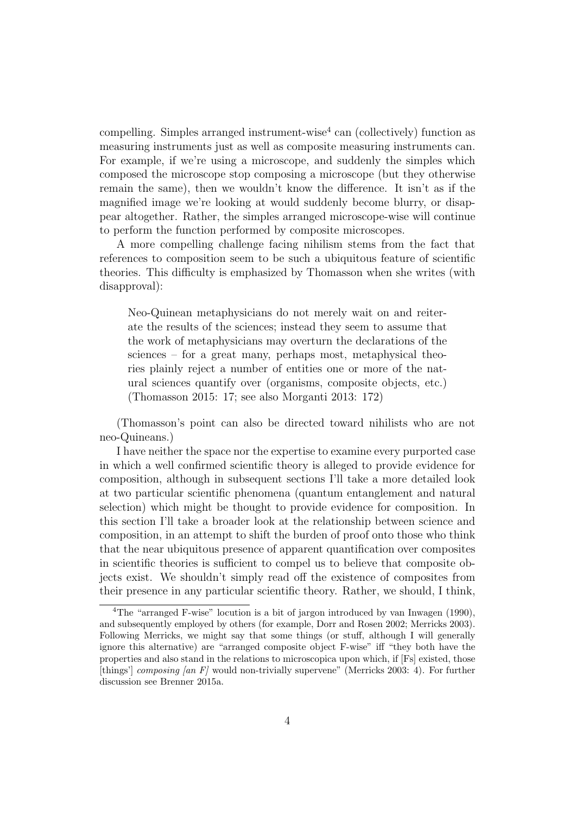compelling. Simples arranged instrument-wise<sup>4</sup> can (collectively) function as measuring instruments just as well as composite measuring instruments can. For example, if we're using a microscope, and suddenly the simples which composed the microscope stop composing a microscope (but they otherwise remain the same), then we wouldn't know the difference. It isn't as if the magnified image we're looking at would suddenly become blurry, or disappear altogether. Rather, the simples arranged microscope-wise will continue to perform the function performed by composite microscopes.

A more compelling challenge facing nihilism stems from the fact that references to composition seem to be such a ubiquitous feature of scientific theories. This difficulty is emphasized by Thomasson when she writes (with disapproval):

Neo-Quinean metaphysicians do not merely wait on and reiterate the results of the sciences; instead they seem to assume that the work of metaphysicians may overturn the declarations of the sciences – for a great many, perhaps most, metaphysical theories plainly reject a number of entities one or more of the natural sciences quantify over (organisms, composite objects, etc.) (Thomasson 2015: 17; see also Morganti 2013: 172)

(Thomasson's point can also be directed toward nihilists who are not neo-Quineans.)

I have neither the space nor the expertise to examine every purported case in which a well confirmed scientific theory is alleged to provide evidence for composition, although in subsequent sections I'll take a more detailed look at two particular scientific phenomena (quantum entanglement and natural selection) which might be thought to provide evidence for composition. In this section I'll take a broader look at the relationship between science and composition, in an attempt to shift the burden of proof onto those who think that the near ubiquitous presence of apparent quantification over composites in scientific theories is sufficient to compel us to believe that composite objects exist. We shouldn't simply read off the existence of composites from their presence in any particular scientific theory. Rather, we should, I think,

<sup>4</sup>The "arranged F-wise" locution is a bit of jargon introduced by van Inwagen (1990), and subsequently employed by others (for example, Dorr and Rosen 2002; Merricks 2003). Following Merricks, we might say that some things (or stuff, although I will generally ignore this alternative) are "arranged composite object F-wise" iff "they both have the properties and also stand in the relations to microscopica upon which, if [Fs] existed, those [things'] composing [an F] would non-trivially supervene" (Merricks 2003: 4). For further discussion see Brenner 2015a.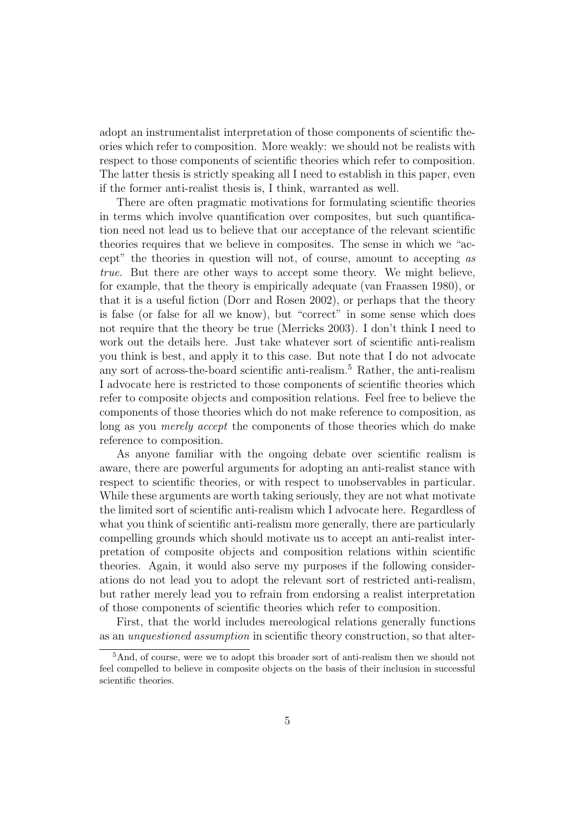adopt an instrumentalist interpretation of those components of scientific theories which refer to composition. More weakly: we should not be realists with respect to those components of scientific theories which refer to composition. The latter thesis is strictly speaking all I need to establish in this paper, even if the former anti-realist thesis is, I think, warranted as well.

There are often pragmatic motivations for formulating scientific theories in terms which involve quantification over composites, but such quantification need not lead us to believe that our acceptance of the relevant scientific theories requires that we believe in composites. The sense in which we "accept" the theories in question will not, of course, amount to accepting as true. But there are other ways to accept some theory. We might believe, for example, that the theory is empirically adequate (van Fraassen 1980), or that it is a useful fiction (Dorr and Rosen 2002), or perhaps that the theory is false (or false for all we know), but "correct" in some sense which does not require that the theory be true (Merricks 2003). I don't think I need to work out the details here. Just take whatever sort of scientific anti-realism you think is best, and apply it to this case. But note that I do not advocate any sort of across-the-board scientific anti-realism.<sup>5</sup> Rather, the anti-realism I advocate here is restricted to those components of scientific theories which refer to composite objects and composition relations. Feel free to believe the components of those theories which do not make reference to composition, as long as you merely accept the components of those theories which do make reference to composition.

As anyone familiar with the ongoing debate over scientific realism is aware, there are powerful arguments for adopting an anti-realist stance with respect to scientific theories, or with respect to unobservables in particular. While these arguments are worth taking seriously, they are not what motivate the limited sort of scientific anti-realism which I advocate here. Regardless of what you think of scientific anti-realism more generally, there are particularly compelling grounds which should motivate us to accept an anti-realist interpretation of composite objects and composition relations within scientific theories. Again, it would also serve my purposes if the following considerations do not lead you to adopt the relevant sort of restricted anti-realism, but rather merely lead you to refrain from endorsing a realist interpretation of those components of scientific theories which refer to composition.

First, that the world includes mereological relations generally functions as an unquestioned assumption in scientific theory construction, so that alter-

<sup>5</sup>And, of course, were we to adopt this broader sort of anti-realism then we should not feel compelled to believe in composite objects on the basis of their inclusion in successful scientific theories.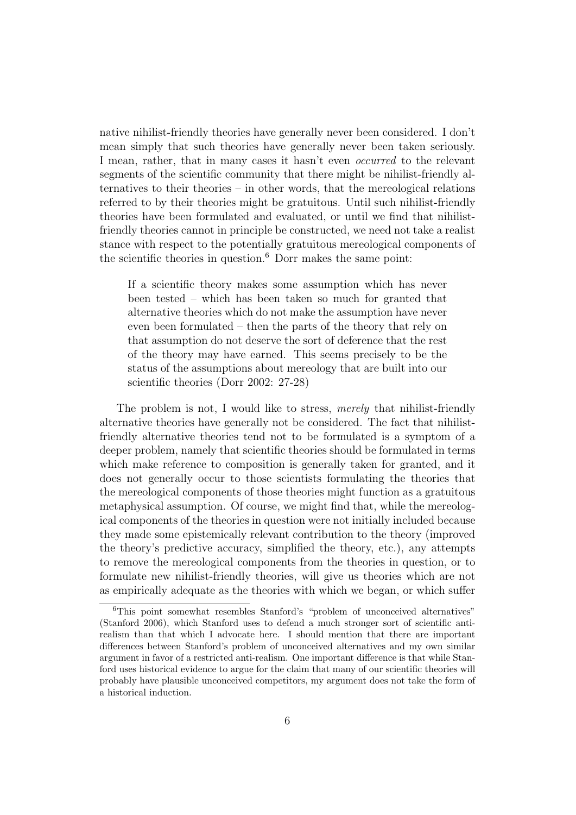native nihilist-friendly theories have generally never been considered. I don't mean simply that such theories have generally never been taken seriously. I mean, rather, that in many cases it hasn't even *occurred* to the relevant segments of the scientific community that there might be nihilist-friendly alternatives to their theories – in other words, that the mereological relations referred to by their theories might be gratuitous. Until such nihilist-friendly theories have been formulated and evaluated, or until we find that nihilistfriendly theories cannot in principle be constructed, we need not take a realist stance with respect to the potentially gratuitous mereological components of the scientific theories in question.<sup>6</sup> Dorr makes the same point:

If a scientific theory makes some assumption which has never been tested – which has been taken so much for granted that alternative theories which do not make the assumption have never even been formulated – then the parts of the theory that rely on that assumption do not deserve the sort of deference that the rest of the theory may have earned. This seems precisely to be the status of the assumptions about mereology that are built into our scientific theories (Dorr 2002: 27-28)

The problem is not, I would like to stress, *merely* that nihilist-friendly alternative theories have generally not be considered. The fact that nihilistfriendly alternative theories tend not to be formulated is a symptom of a deeper problem, namely that scientific theories should be formulated in terms which make reference to composition is generally taken for granted, and it does not generally occur to those scientists formulating the theories that the mereological components of those theories might function as a gratuitous metaphysical assumption. Of course, we might find that, while the mereological components of the theories in question were not initially included because they made some epistemically relevant contribution to the theory (improved the theory's predictive accuracy, simplified the theory, etc.), any attempts to remove the mereological components from the theories in question, or to formulate new nihilist-friendly theories, will give us theories which are not as empirically adequate as the theories with which we began, or which suffer

<sup>6</sup>This point somewhat resembles Stanford's "problem of unconceived alternatives" (Stanford 2006), which Stanford uses to defend a much stronger sort of scientific antirealism than that which I advocate here. I should mention that there are important differences between Stanford's problem of unconceived alternatives and my own similar argument in favor of a restricted anti-realism. One important difference is that while Stanford uses historical evidence to argue for the claim that many of our scientific theories will probably have plausible unconceived competitors, my argument does not take the form of a historical induction.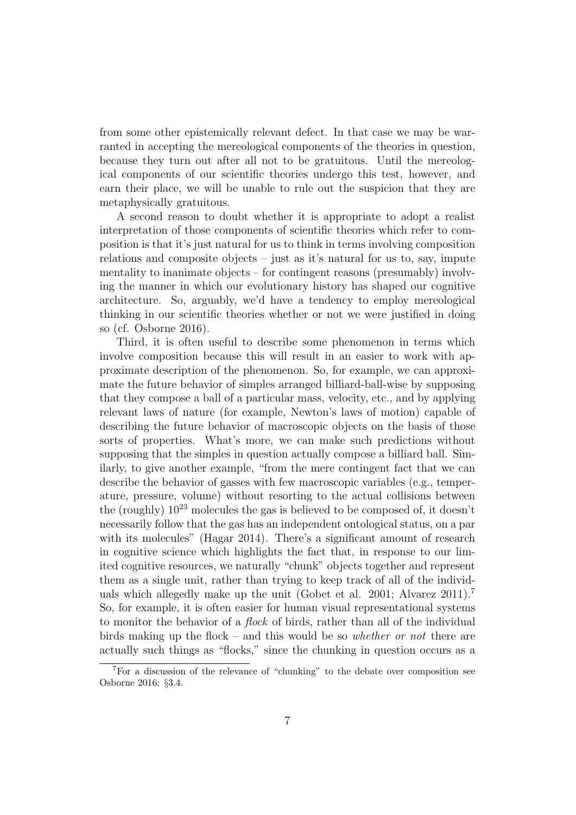from some other epistemically relevant defect. In that case we may be warranted in accepting the mereological components of the theories in question, because they turn out after all not to be gratuitous. Until the mereological components of our scientific theories undergo this test, however, and earn their place, we will be unable to rule out the suspicion that they are metaphysically gratuitous.

A second reason to doubt whether it is appropriate to adopt a realist interpretation of those components of scientific theories which refer to composition is that it's just natural for us to think in terms involving composition relations and composite objects – just as it's natural for us to, say, impute mentality to inanimate objects – for contingent reasons (presumably) involving the manner in which our evolutionary history has shaped our cognitive architecture. So, arguably, we'd have a tendency to employ mereological thinking in our scientific theories whether or not we were justified in doing so (cf. Osborne 2016).

Third, it is often useful to describe some phenomenon in terms which involve composition because this will result in an easier to work with approximate description of the phenomenon. So, for example, we can approximate the future behavior of simples arranged billiard-ball-wise by supposing that they compose a ball of a particular mass, velocity, etc., and by applying relevant laws of nature (for example, Newton's laws of motion) capable of describing the future behavior of macroscopic objects on the basis of those sorts of properties. What's more, we can make such predictions without supposing that the simples in question actually compose a billiard ball. Similarly, to give another example, "from the mere contingent fact that we can describe the behavior of gasses with few macroscopic variables (e.g., temperature, pressure, volume) without resorting to the actual collisions between the (roughly)  $10^{23}$  molecules the gas is believed to be composed of, it doesn't necessarily follow that the gas has an independent ontological status, on a par with its molecules" (Hagar 2014). There's a significant amount of research in cognitive science which highlights the fact that, in response to our limited cognitive resources, we naturally "chunk" objects together and represent them as a single unit, rather than trying to keep track of all of the individuals which allegedly make up the unit (Gobet et al. 2001; Alvarez 2011).<sup>7</sup> So, for example, it is often easier for human visual representational systems to monitor the behavior of a flock of birds, rather than all of the individual birds making up the flock – and this would be so *whether or not* there are actually such things as "flocks," since the chunking in question occurs as a

<sup>7</sup>For a discussion of the relevance of "chunking" to the debate over composition see Osborne 2016: §3.4.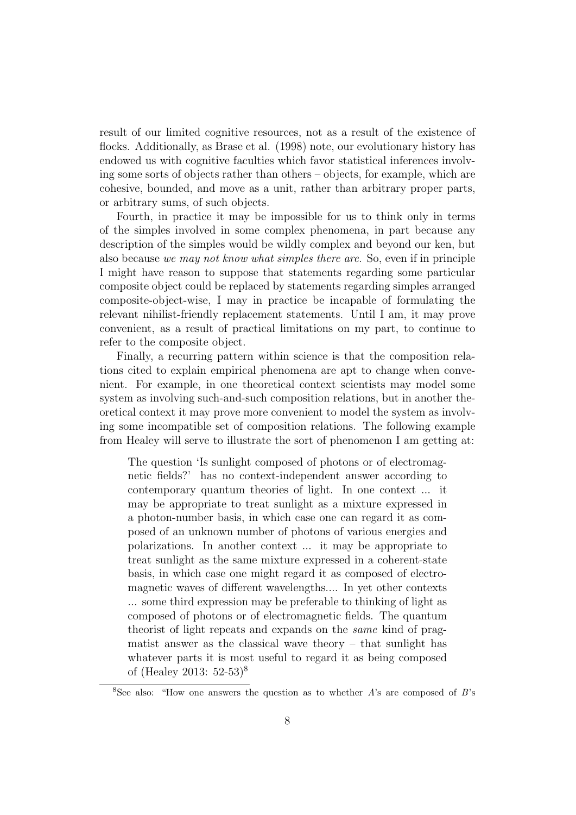result of our limited cognitive resources, not as a result of the existence of flocks. Additionally, as Brase et al. (1998) note, our evolutionary history has endowed us with cognitive faculties which favor statistical inferences involving some sorts of objects rather than others – objects, for example, which are cohesive, bounded, and move as a unit, rather than arbitrary proper parts, or arbitrary sums, of such objects.

Fourth, in practice it may be impossible for us to think only in terms of the simples involved in some complex phenomena, in part because any description of the simples would be wildly complex and beyond our ken, but also because we may not know what simples there are. So, even if in principle I might have reason to suppose that statements regarding some particular composite object could be replaced by statements regarding simples arranged composite-object-wise, I may in practice be incapable of formulating the relevant nihilist-friendly replacement statements. Until I am, it may prove convenient, as a result of practical limitations on my part, to continue to refer to the composite object.

Finally, a recurring pattern within science is that the composition relations cited to explain empirical phenomena are apt to change when convenient. For example, in one theoretical context scientists may model some system as involving such-and-such composition relations, but in another theoretical context it may prove more convenient to model the system as involving some incompatible set of composition relations. The following example from Healey will serve to illustrate the sort of phenomenon I am getting at:

The question 'Is sunlight composed of photons or of electromagnetic fields?' has no context-independent answer according to contemporary quantum theories of light. In one context ... it may be appropriate to treat sunlight as a mixture expressed in a photon-number basis, in which case one can regard it as composed of an unknown number of photons of various energies and polarizations. In another context ... it may be appropriate to treat sunlight as the same mixture expressed in a coherent-state basis, in which case one might regard it as composed of electromagnetic waves of different wavelengths.... In yet other contexts ... some third expression may be preferable to thinking of light as composed of photons or of electromagnetic fields. The quantum theorist of light repeats and expands on the same kind of pragmatist answer as the classical wave theory – that sunlight has whatever parts it is most useful to regard it as being composed of (Healey 2013: 52-53)<sup>8</sup>

<sup>&</sup>lt;sup>8</sup>See also: "How one answers the question as to whether  $A$ 's are composed of  $B$ 's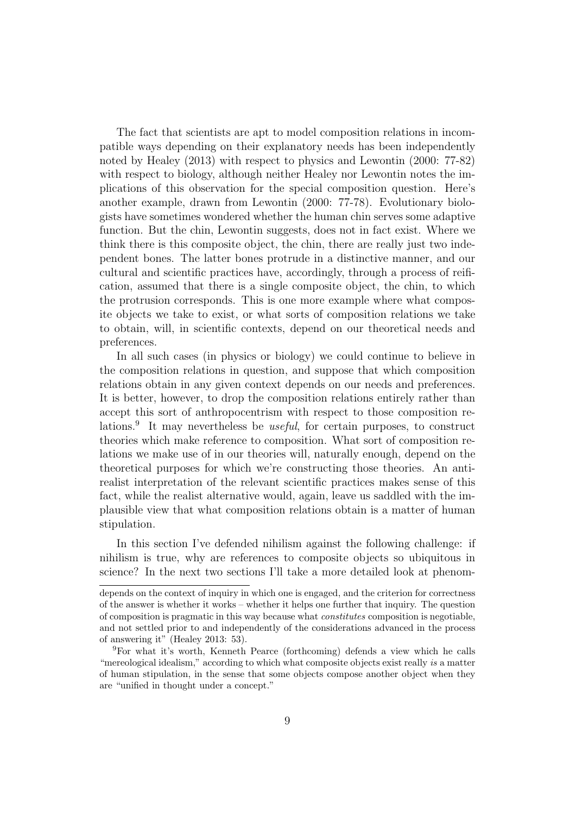The fact that scientists are apt to model composition relations in incompatible ways depending on their explanatory needs has been independently noted by Healey (2013) with respect to physics and Lewontin (2000: 77-82) with respect to biology, although neither Healey nor Lewontin notes the implications of this observation for the special composition question. Here's another example, drawn from Lewontin (2000: 77-78). Evolutionary biologists have sometimes wondered whether the human chin serves some adaptive function. But the chin, Lewontin suggests, does not in fact exist. Where we think there is this composite object, the chin, there are really just two independent bones. The latter bones protrude in a distinctive manner, and our cultural and scientific practices have, accordingly, through a process of reification, assumed that there is a single composite object, the chin, to which the protrusion corresponds. This is one more example where what composite objects we take to exist, or what sorts of composition relations we take to obtain, will, in scientific contexts, depend on our theoretical needs and preferences.

In all such cases (in physics or biology) we could continue to believe in the composition relations in question, and suppose that which composition relations obtain in any given context depends on our needs and preferences. It is better, however, to drop the composition relations entirely rather than accept this sort of anthropocentrism with respect to those composition relations.<sup>9</sup> It may nevertheless be *useful*, for certain purposes, to construct theories which make reference to composition. What sort of composition relations we make use of in our theories will, naturally enough, depend on the theoretical purposes for which we're constructing those theories. An antirealist interpretation of the relevant scientific practices makes sense of this fact, while the realist alternative would, again, leave us saddled with the implausible view that what composition relations obtain is a matter of human stipulation.

In this section I've defended nihilism against the following challenge: if nihilism is true, why are references to composite objects so ubiquitous in science? In the next two sections I'll take a more detailed look at phenom-

depends on the context of inquiry in which one is engaged, and the criterion for correctness of the answer is whether it works – whether it helps one further that inquiry. The question of composition is pragmatic in this way because what constitutes composition is negotiable, and not settled prior to and independently of the considerations advanced in the process of answering it" (Healey 2013: 53).

<sup>9</sup>For what it's worth, Kenneth Pearce (forthcoming) defends a view which he calls "mereological idealism," according to which what composite objects exist really is a matter of human stipulation, in the sense that some objects compose another object when they are "unified in thought under a concept."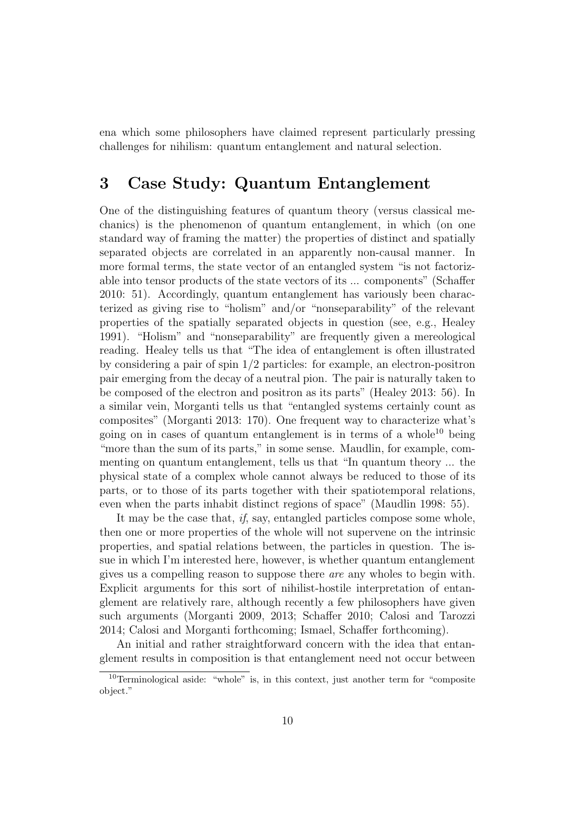ena which some philosophers have claimed represent particularly pressing challenges for nihilism: quantum entanglement and natural selection.

## 3 Case Study: Quantum Entanglement

One of the distinguishing features of quantum theory (versus classical mechanics) is the phenomenon of quantum entanglement, in which (on one standard way of framing the matter) the properties of distinct and spatially separated objects are correlated in an apparently non-causal manner. In more formal terms, the state vector of an entangled system "is not factorizable into tensor products of the state vectors of its ... components" (Schaffer 2010: 51). Accordingly, quantum entanglement has variously been characterized as giving rise to "holism" and/or "nonseparability" of the relevant properties of the spatially separated objects in question (see, e.g., Healey 1991). "Holism" and "nonseparability" are frequently given a mereological reading. Healey tells us that "The idea of entanglement is often illustrated by considering a pair of spin 1/2 particles: for example, an electron-positron pair emerging from the decay of a neutral pion. The pair is naturally taken to be composed of the electron and positron as its parts" (Healey 2013: 56). In a similar vein, Morganti tells us that "entangled systems certainly count as composites" (Morganti 2013: 170). One frequent way to characterize what's going on in cases of quantum entanglement is in terms of a whole<sup>10</sup> being "more than the sum of its parts," in some sense. Maudlin, for example, commenting on quantum entanglement, tells us that "In quantum theory ... the physical state of a complex whole cannot always be reduced to those of its parts, or to those of its parts together with their spatiotemporal relations, even when the parts inhabit distinct regions of space" (Maudlin 1998: 55).

It may be the case that, if, say, entangled particles compose some whole, then one or more properties of the whole will not supervene on the intrinsic properties, and spatial relations between, the particles in question. The issue in which I'm interested here, however, is whether quantum entanglement gives us a compelling reason to suppose there are any wholes to begin with. Explicit arguments for this sort of nihilist-hostile interpretation of entanglement are relatively rare, although recently a few philosophers have given such arguments (Morganti 2009, 2013; Schaffer 2010; Calosi and Tarozzi 2014; Calosi and Morganti forthcoming; Ismael, Schaffer forthcoming).

An initial and rather straightforward concern with the idea that entanglement results in composition is that entanglement need not occur between

<sup>&</sup>lt;sup>10</sup>Terminological aside: "whole" is, in this context, just another term for "composite" object."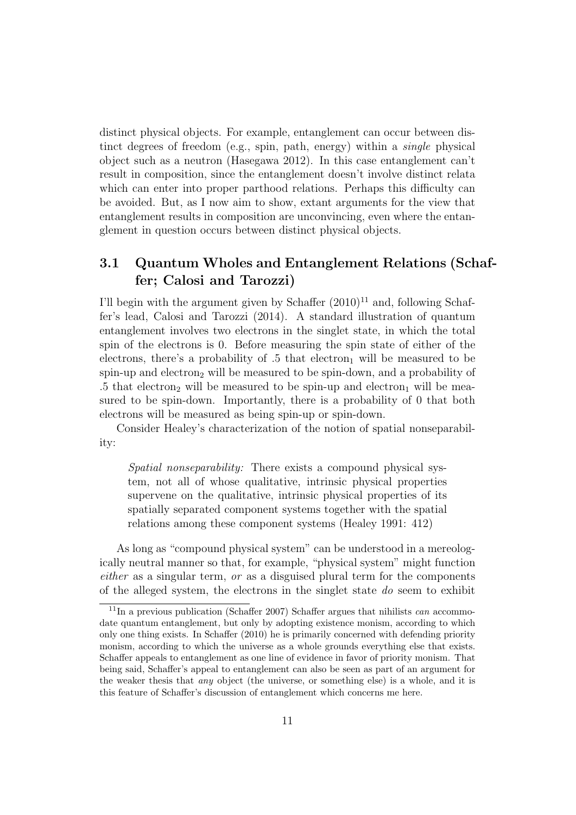distinct physical objects. For example, entanglement can occur between distinct degrees of freedom (e.g., spin, path, energy) within a single physical object such as a neutron (Hasegawa 2012). In this case entanglement can't result in composition, since the entanglement doesn't involve distinct relata which can enter into proper parthood relations. Perhaps this difficulty can be avoided. But, as I now aim to show, extant arguments for the view that entanglement results in composition are unconvincing, even where the entanglement in question occurs between distinct physical objects.

### 3.1 Quantum Wholes and Entanglement Relations (Schaffer; Calosi and Tarozzi)

I'll begin with the argument given by Schaffer  $(2010)^{11}$  and, following Schaffer's lead, Calosi and Tarozzi (2014). A standard illustration of quantum entanglement involves two electrons in the singlet state, in which the total spin of the electrons is 0. Before measuring the spin state of either of the electrons, there's a probability of  $.5$  that electron<sub>1</sub> will be measured to be spin-up and electron<sub>2</sub> will be measured to be spin-down, and a probability of .5 that electron<sub>2</sub> will be measured to be spin-up and electron<sub>1</sub> will be measured to be spin-down. Importantly, there is a probability of 0 that both electrons will be measured as being spin-up or spin-down.

Consider Healey's characterization of the notion of spatial nonseparability:

Spatial nonseparability: There exists a compound physical system, not all of whose qualitative, intrinsic physical properties supervene on the qualitative, intrinsic physical properties of its spatially separated component systems together with the spatial relations among these component systems (Healey 1991: 412)

As long as "compound physical system" can be understood in a mereologically neutral manner so that, for example, "physical system" might function either as a singular term, or as a disguised plural term for the components of the alleged system, the electrons in the singlet state do seem to exhibit

 $11$ In a previous publication (Schaffer 2007) Schaffer argues that nihilists can accommodate quantum entanglement, but only by adopting existence monism, according to which only one thing exists. In Schaffer (2010) he is primarily concerned with defending priority monism, according to which the universe as a whole grounds everything else that exists. Schaffer appeals to entanglement as one line of evidence in favor of priority monism. That being said, Schaffer's appeal to entanglement can also be seen as part of an argument for the weaker thesis that any object (the universe, or something else) is a whole, and it is this feature of Schaffer's discussion of entanglement which concerns me here.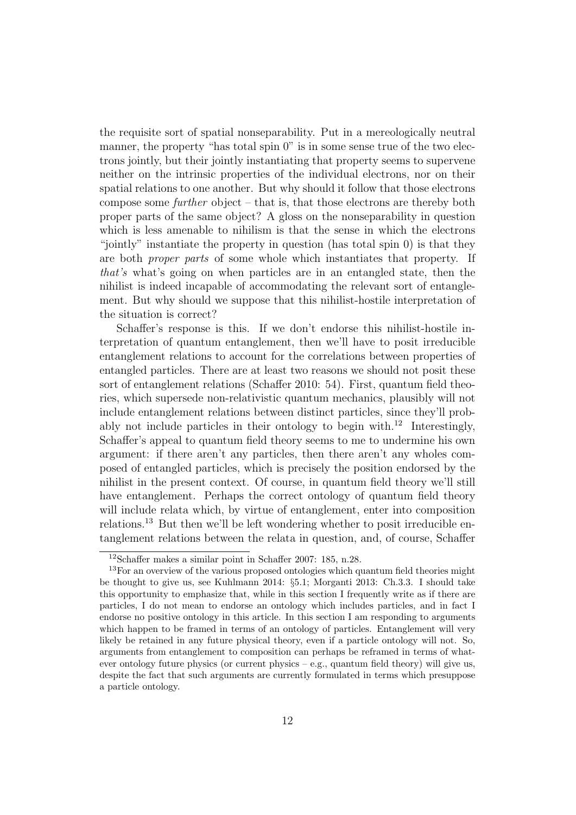the requisite sort of spatial nonseparability. Put in a mereologically neutral manner, the property "has total spin  $0$ " is in some sense true of the two electrons jointly, but their jointly instantiating that property seems to supervene neither on the intrinsic properties of the individual electrons, nor on their spatial relations to one another. But why should it follow that those electrons compose some further object – that is, that those electrons are thereby both proper parts of the same object? A gloss on the nonseparability in question which is less amenable to nihilism is that the sense in which the electrons "jointly" instantiate the property in question (has total spin 0) is that they are both proper parts of some whole which instantiates that property. If that's what's going on when particles are in an entangled state, then the nihilist is indeed incapable of accommodating the relevant sort of entanglement. But why should we suppose that this nihilist-hostile interpretation of the situation is correct?

Schaffer's response is this. If we don't endorse this nihilist-hostile interpretation of quantum entanglement, then we'll have to posit irreducible entanglement relations to account for the correlations between properties of entangled particles. There are at least two reasons we should not posit these sort of entanglement relations (Schaffer 2010: 54). First, quantum field theories, which supersede non-relativistic quantum mechanics, plausibly will not include entanglement relations between distinct particles, since they'll probably not include particles in their ontology to begin with.<sup>12</sup> Interestingly, Schaffer's appeal to quantum field theory seems to me to undermine his own argument: if there aren't any particles, then there aren't any wholes composed of entangled particles, which is precisely the position endorsed by the nihilist in the present context. Of course, in quantum field theory we'll still have entanglement. Perhaps the correct ontology of quantum field theory will include relata which, by virtue of entanglement, enter into composition relations.<sup>13</sup> But then we'll be left wondering whether to posit irreducible entanglement relations between the relata in question, and, of course, Schaffer

<sup>12</sup>Schaffer makes a similar point in Schaffer 2007: 185, n.28.

<sup>&</sup>lt;sup>13</sup>For an overview of the various proposed ontologies which quantum field theories might be thought to give us, see Kuhlmann 2014: §5.1; Morganti 2013: Ch.3.3. I should take this opportunity to emphasize that, while in this section I frequently write as if there are particles, I do not mean to endorse an ontology which includes particles, and in fact I endorse no positive ontology in this article. In this section I am responding to arguments which happen to be framed in terms of an ontology of particles. Entanglement will very likely be retained in any future physical theory, even if a particle ontology will not. So, arguments from entanglement to composition can perhaps be reframed in terms of whatever ontology future physics (or current physics – e.g., quantum field theory) will give us, despite the fact that such arguments are currently formulated in terms which presuppose a particle ontology.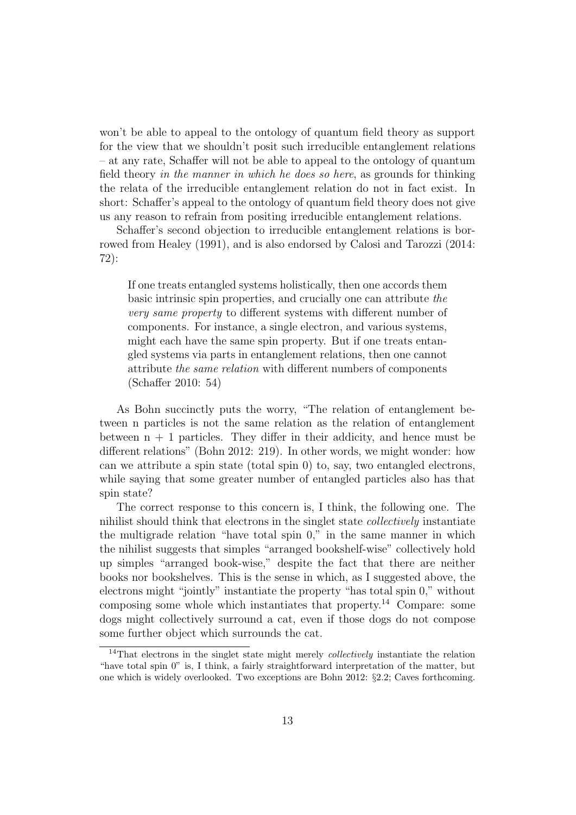won't be able to appeal to the ontology of quantum field theory as support for the view that we shouldn't posit such irreducible entanglement relations – at any rate, Schaffer will not be able to appeal to the ontology of quantum field theory in the manner in which he does so here, as grounds for thinking the relata of the irreducible entanglement relation do not in fact exist. In short: Schaffer's appeal to the ontology of quantum field theory does not give us any reason to refrain from positing irreducible entanglement relations.

Schaffer's second objection to irreducible entanglement relations is borrowed from Healey (1991), and is also endorsed by Calosi and Tarozzi (2014: 72):

If one treats entangled systems holistically, then one accords them basic intrinsic spin properties, and crucially one can attribute the very same property to different systems with different number of components. For instance, a single electron, and various systems, might each have the same spin property. But if one treats entangled systems via parts in entanglement relations, then one cannot attribute the same relation with different numbers of components (Schaffer 2010: 54)

As Bohn succinctly puts the worry, "The relation of entanglement between n particles is not the same relation as the relation of entanglement between  $n + 1$  particles. They differ in their addicity, and hence must be different relations" (Bohn 2012: 219). In other words, we might wonder: how can we attribute a spin state (total spin 0) to, say, two entangled electrons, while saying that some greater number of entangled particles also has that spin state?

The correct response to this concern is, I think, the following one. The nihilist should think that electrons in the singlet state collectively instantiate the multigrade relation "have total spin 0," in the same manner in which the nihilist suggests that simples "arranged bookshelf-wise" collectively hold up simples "arranged book-wise," despite the fact that there are neither books nor bookshelves. This is the sense in which, as I suggested above, the electrons might "jointly" instantiate the property "has total spin 0," without composing some whole which instantiates that property.<sup>14</sup> Compare: some dogs might collectively surround a cat, even if those dogs do not compose some further object which surrounds the cat.

 $14$ That electrons in the singlet state might merely *collectively* instantiate the relation "have total spin 0" is, I think, a fairly straightforward interpretation of the matter, but one which is widely overlooked. Two exceptions are Bohn 2012: §2.2; Caves forthcoming.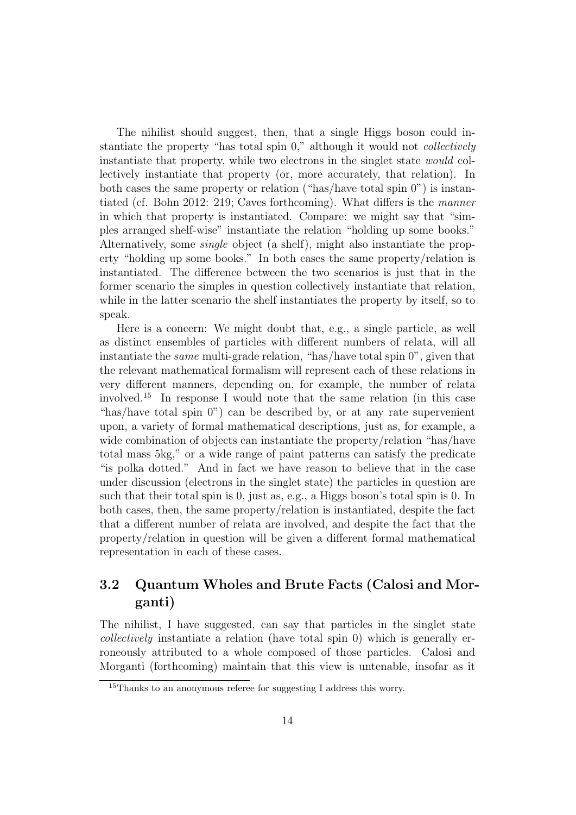The nihilist should suggest, then, that a single Higgs boson could instantiate the property "has total spin 0," although it would not collectively instantiate that property, while two electrons in the singlet state would collectively instantiate that property (or, more accurately, that relation). In both cases the same property or relation ("has/have total spin 0") is instantiated (cf. Bohn 2012: 219; Caves forthcoming). What differs is the manner in which that property is instantiated. Compare: we might say that "simples arranged shelf-wise" instantiate the relation "holding up some books." Alternatively, some single object (a shelf), might also instantiate the property "holding up some books." In both cases the same property/relation is instantiated. The difference between the two scenarios is just that in the former scenario the simples in question collectively instantiate that relation, while in the latter scenario the shelf instantiates the property by itself, so to speak.

Here is a concern: We might doubt that, e.g., a single particle, as well as distinct ensembles of particles with different numbers of relata, will all instantiate the same multi-grade relation, "has/have total spin 0", given that the relevant mathematical formalism will represent each of these relations in very different manners, depending on, for example, the number of relata involved.<sup>15</sup> In response I would note that the same relation (in this case "has/have total spin 0") can be described by, or at any rate supervenient upon, a variety of formal mathematical descriptions, just as, for example, a wide combination of objects can instantiate the property/relation "has/have total mass 5kg," or a wide range of paint patterns can satisfy the predicate "is polka dotted." And in fact we have reason to believe that in the case under discussion (electrons in the singlet state) the particles in question are such that their total spin is 0, just as, e.g., a Higgs boson's total spin is 0. In both cases, then, the same property/relation is instantiated, despite the fact that a different number of relata are involved, and despite the fact that the property/relation in question will be given a different formal mathematical representation in each of these cases.

#### 3.2 Quantum Wholes and Brute Facts (Calosi and Morganti)

The nihilist, I have suggested, can say that particles in the singlet state collectively instantiate a relation (have total spin 0) which is generally erroneously attributed to a whole composed of those particles. Calosi and Morganti (forthcoming) maintain that this view is untenable, insofar as it

<sup>&</sup>lt;sup>15</sup>Thanks to an anonymous referee for suggesting I address this worry.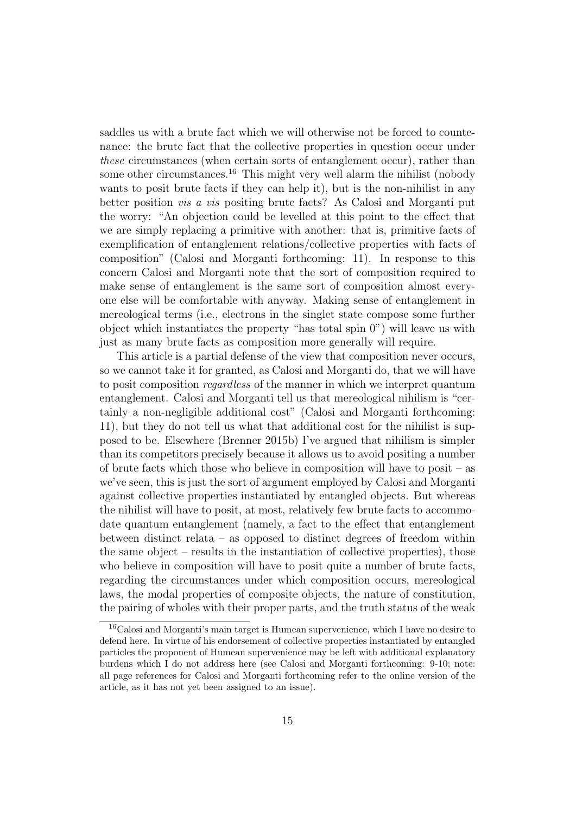saddles us with a brute fact which we will otherwise not be forced to countenance: the brute fact that the collective properties in question occur under these circumstances (when certain sorts of entanglement occur), rather than some other circumstances.<sup>16</sup> This might very well alarm the nihilist (nobody wants to posit brute facts if they can help it), but is the non-nihilist in any better position vis a vis positing brute facts? As Calosi and Morganti put the worry: "An objection could be levelled at this point to the effect that we are simply replacing a primitive with another: that is, primitive facts of exemplification of entanglement relations/collective properties with facts of composition" (Calosi and Morganti forthcoming: 11). In response to this concern Calosi and Morganti note that the sort of composition required to make sense of entanglement is the same sort of composition almost everyone else will be comfortable with anyway. Making sense of entanglement in mereological terms (i.e., electrons in the singlet state compose some further object which instantiates the property "has total spin 0") will leave us with just as many brute facts as composition more generally will require.

This article is a partial defense of the view that composition never occurs, so we cannot take it for granted, as Calosi and Morganti do, that we will have to posit composition regardless of the manner in which we interpret quantum entanglement. Calosi and Morganti tell us that mereological nihilism is "certainly a non-negligible additional cost" (Calosi and Morganti forthcoming: 11), but they do not tell us what that additional cost for the nihilist is supposed to be. Elsewhere (Brenner 2015b) I've argued that nihilism is simpler than its competitors precisely because it allows us to avoid positing a number of brute facts which those who believe in composition will have to posit – as we've seen, this is just the sort of argument employed by Calosi and Morganti against collective properties instantiated by entangled objects. But whereas the nihilist will have to posit, at most, relatively few brute facts to accommodate quantum entanglement (namely, a fact to the effect that entanglement between distinct relata – as opposed to distinct degrees of freedom within the same object – results in the instantiation of collective properties), those who believe in composition will have to posit quite a number of brute facts, regarding the circumstances under which composition occurs, mereological laws, the modal properties of composite objects, the nature of constitution, the pairing of wholes with their proper parts, and the truth status of the weak

<sup>16</sup>Calosi and Morganti's main target is Humean supervenience, which I have no desire to defend here. In virtue of his endorsement of collective properties instantiated by entangled particles the proponent of Humean supervenience may be left with additional explanatory burdens which I do not address here (see Calosi and Morganti forthcoming: 9-10; note: all page references for Calosi and Morganti forthcoming refer to the online version of the article, as it has not yet been assigned to an issue).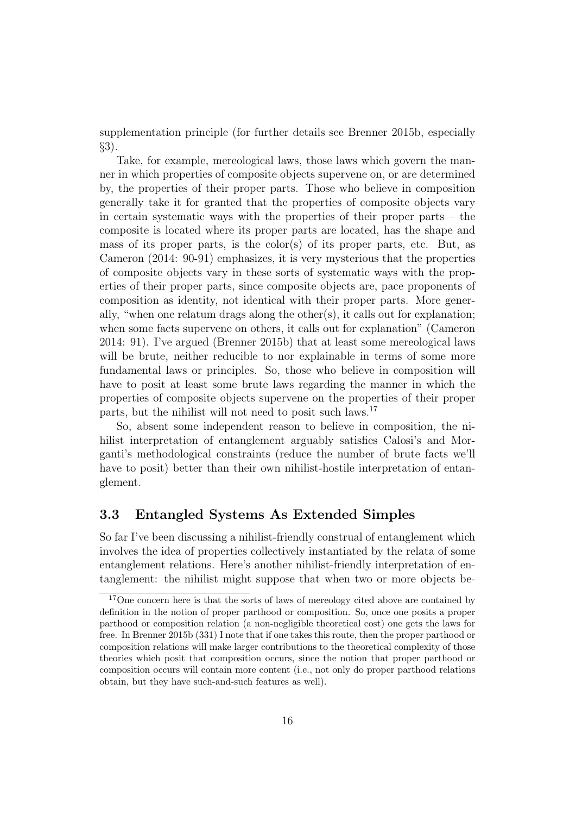supplementation principle (for further details see Brenner 2015b, especially §3).

Take, for example, mereological laws, those laws which govern the manner in which properties of composite objects supervene on, or are determined by, the properties of their proper parts. Those who believe in composition generally take it for granted that the properties of composite objects vary in certain systematic ways with the properties of their proper parts  $-$  the composite is located where its proper parts are located, has the shape and mass of its proper parts, is the color(s) of its proper parts, etc. But, as Cameron (2014: 90-91) emphasizes, it is very mysterious that the properties of composite objects vary in these sorts of systematic ways with the properties of their proper parts, since composite objects are, pace proponents of composition as identity, not identical with their proper parts. More generally, "when one relatum drags along the other(s), it calls out for explanation; when some facts supervene on others, it calls out for explanation" (Cameron 2014: 91). I've argued (Brenner 2015b) that at least some mereological laws will be brute, neither reducible to nor explainable in terms of some more fundamental laws or principles. So, those who believe in composition will have to posit at least some brute laws regarding the manner in which the properties of composite objects supervene on the properties of their proper parts, but the nihilist will not need to posit such laws.<sup>17</sup>

So, absent some independent reason to believe in composition, the nihilist interpretation of entanglement arguably satisfies Calosi's and Morganti's methodological constraints (reduce the number of brute facts we'll have to posit) better than their own nihilist-hostile interpretation of entanglement.

#### 3.3 Entangled Systems As Extended Simples

So far I've been discussing a nihilist-friendly construal of entanglement which involves the idea of properties collectively instantiated by the relata of some entanglement relations. Here's another nihilist-friendly interpretation of entanglement: the nihilist might suppose that when two or more objects be-

<sup>&</sup>lt;sup>17</sup>One concern here is that the sorts of laws of mereology cited above are contained by definition in the notion of proper parthood or composition. So, once one posits a proper parthood or composition relation (a non-negligible theoretical cost) one gets the laws for free. In Brenner 2015b (331) I note that if one takes this route, then the proper parthood or composition relations will make larger contributions to the theoretical complexity of those theories which posit that composition occurs, since the notion that proper parthood or composition occurs will contain more content (i.e., not only do proper parthood relations obtain, but they have such-and-such features as well).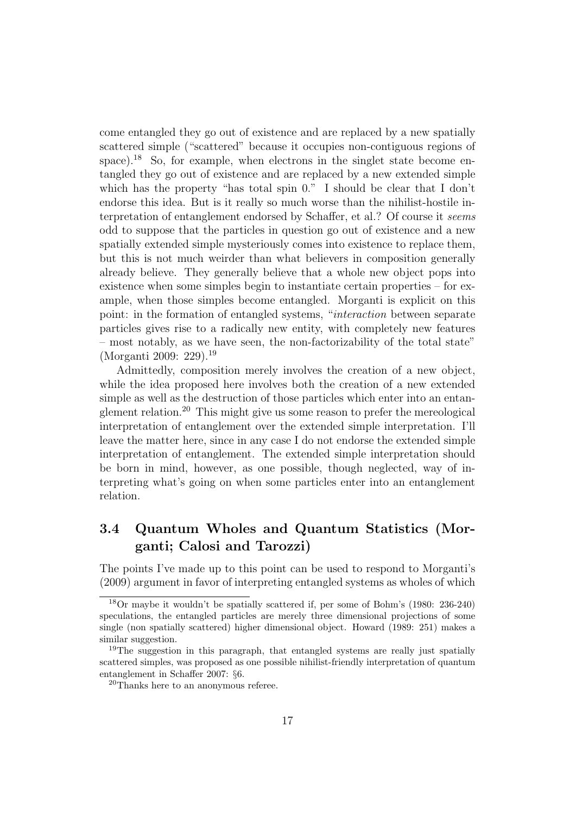come entangled they go out of existence and are replaced by a new spatially scattered simple ("scattered" because it occupies non-contiguous regions of space).<sup>18</sup> So, for example, when electrons in the singlet state become entangled they go out of existence and are replaced by a new extended simple which has the property "has total spin 0." I should be clear that I don't endorse this idea. But is it really so much worse than the nihilist-hostile interpretation of entanglement endorsed by Schaffer, et al.? Of course it seems odd to suppose that the particles in question go out of existence and a new spatially extended simple mysteriously comes into existence to replace them, but this is not much weirder than what believers in composition generally already believe. They generally believe that a whole new object pops into existence when some simples begin to instantiate certain properties – for example, when those simples become entangled. Morganti is explicit on this point: in the formation of entangled systems, "interaction between separate particles gives rise to a radically new entity, with completely new features – most notably, as we have seen, the non-factorizability of the total state" (Morganti 2009: 229).<sup>19</sup>

Admittedly, composition merely involves the creation of a new object, while the idea proposed here involves both the creation of a new extended simple as well as the destruction of those particles which enter into an entanglement relation.<sup>20</sup> This might give us some reason to prefer the mereological interpretation of entanglement over the extended simple interpretation. I'll leave the matter here, since in any case I do not endorse the extended simple interpretation of entanglement. The extended simple interpretation should be born in mind, however, as one possible, though neglected, way of interpreting what's going on when some particles enter into an entanglement relation.

#### 3.4 Quantum Wholes and Quantum Statistics (Morganti; Calosi and Tarozzi)

The points I've made up to this point can be used to respond to Morganti's (2009) argument in favor of interpreting entangled systems as wholes of which

<sup>18</sup>Or maybe it wouldn't be spatially scattered if, per some of Bohm's (1980: 236-240) speculations, the entangled particles are merely three dimensional projections of some single (non spatially scattered) higher dimensional object. Howard (1989: 251) makes a similar suggestion.

<sup>&</sup>lt;sup>19</sup>The suggestion in this paragraph, that entangled systems are really just spatially scattered simples, was proposed as one possible nihilist-friendly interpretation of quantum entanglement in Schaffer 2007: §6.

<sup>20</sup>Thanks here to an anonymous referee.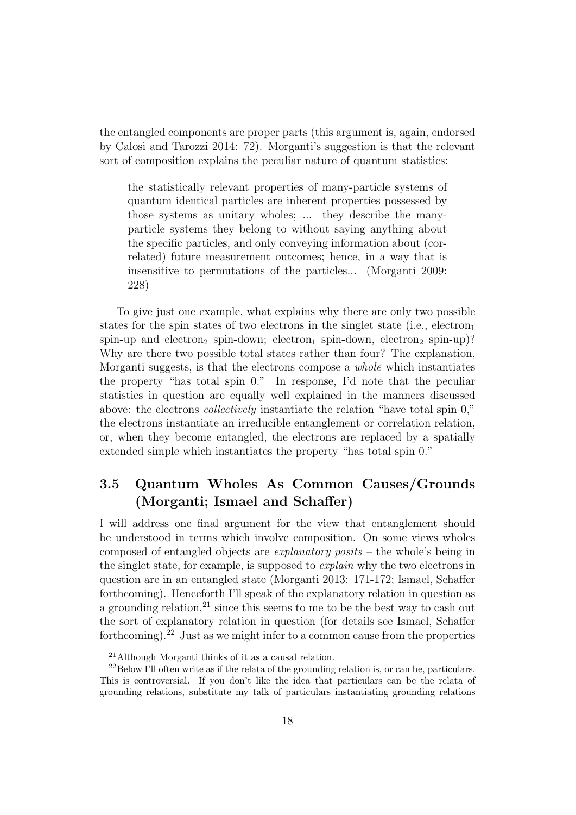the entangled components are proper parts (this argument is, again, endorsed by Calosi and Tarozzi 2014: 72). Morganti's suggestion is that the relevant sort of composition explains the peculiar nature of quantum statistics:

the statistically relevant properties of many-particle systems of quantum identical particles are inherent properties possessed by those systems as unitary wholes; ... they describe the manyparticle systems they belong to without saying anything about the specific particles, and only conveying information about (correlated) future measurement outcomes; hence, in a way that is insensitive to permutations of the particles... (Morganti 2009: 228)

To give just one example, what explains why there are only two possible states for the spin states of two electrons in the singlet state (i.e., electron<sub>1</sub>) spin-up and electron<sub>2</sub> spin-down; electron<sub>1</sub> spin-down, electron<sub>2</sub> spin-up)? Why are there two possible total states rather than four? The explanation, Morganti suggests, is that the electrons compose a whole which instantiates the property "has total spin 0." In response, I'd note that the peculiar statistics in question are equally well explained in the manners discussed above: the electrons collectively instantiate the relation "have total spin 0," the electrons instantiate an irreducible entanglement or correlation relation, or, when they become entangled, the electrons are replaced by a spatially extended simple which instantiates the property "has total spin 0."

### 3.5 Quantum Wholes As Common Causes/Grounds (Morganti; Ismael and Schaffer)

I will address one final argument for the view that entanglement should be understood in terms which involve composition. On some views wholes composed of entangled objects are explanatory posits – the whole's being in the singlet state, for example, is supposed to explain why the two electrons in question are in an entangled state (Morganti 2013: 171-172; Ismael, Schaffer forthcoming). Henceforth I'll speak of the explanatory relation in question as a grounding relation,<sup>21</sup> since this seems to me to be the best way to cash out the sort of explanatory relation in question (for details see Ismael, Schaffer forthcoming).<sup>22</sup> Just as we might infer to a common cause from the properties

<sup>21</sup>Although Morganti thinks of it as a causal relation.

 $^{22}$ Below I'll often write as if the relata of the grounding relation is, or can be, particulars. This is controversial. If you don't like the idea that particulars can be the relata of grounding relations, substitute my talk of particulars instantiating grounding relations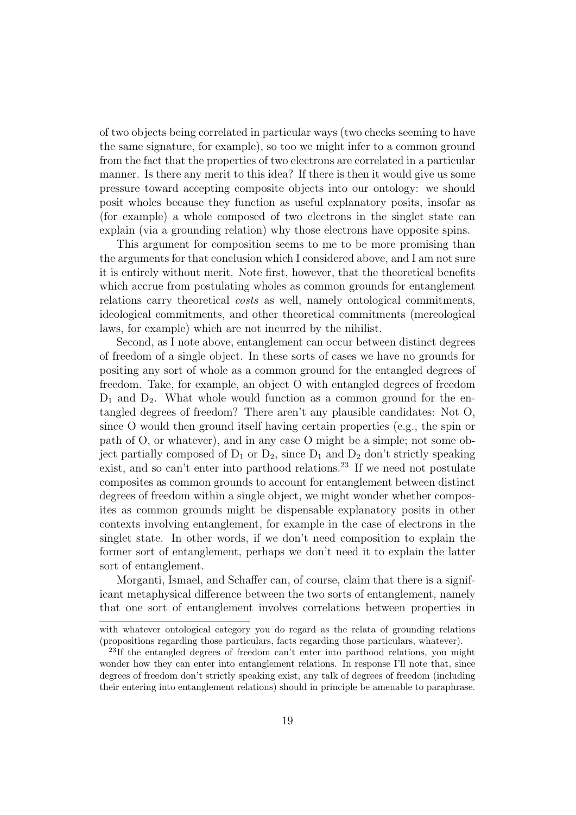of two objects being correlated in particular ways (two checks seeming to have the same signature, for example), so too we might infer to a common ground from the fact that the properties of two electrons are correlated in a particular manner. Is there any merit to this idea? If there is then it would give us some pressure toward accepting composite objects into our ontology: we should posit wholes because they function as useful explanatory posits, insofar as (for example) a whole composed of two electrons in the singlet state can explain (via a grounding relation) why those electrons have opposite spins.

This argument for composition seems to me to be more promising than the arguments for that conclusion which I considered above, and I am not sure it is entirely without merit. Note first, however, that the theoretical benefits which accrue from postulating wholes as common grounds for entanglement relations carry theoretical costs as well, namely ontological commitments, ideological commitments, and other theoretical commitments (mereological laws, for example) which are not incurred by the nihilist.

Second, as I note above, entanglement can occur between distinct degrees of freedom of a single object. In these sorts of cases we have no grounds for positing any sort of whole as a common ground for the entangled degrees of freedom. Take, for example, an object O with entangled degrees of freedom  $D_1$  and  $D_2$ . What whole would function as a common ground for the entangled degrees of freedom? There aren't any plausible candidates: Not O, since O would then ground itself having certain properties (e.g., the spin or path of O, or whatever), and in any case O might be a simple; not some object partially composed of  $D_1$  or  $D_2$ , since  $D_1$  and  $D_2$  don't strictly speaking exist, and so can't enter into parthood relations.<sup>23</sup> If we need not postulate composites as common grounds to account for entanglement between distinct degrees of freedom within a single object, we might wonder whether composites as common grounds might be dispensable explanatory posits in other contexts involving entanglement, for example in the case of electrons in the singlet state. In other words, if we don't need composition to explain the former sort of entanglement, perhaps we don't need it to explain the latter sort of entanglement.

Morganti, Ismael, and Schaffer can, of course, claim that there is a significant metaphysical difference between the two sorts of entanglement, namely that one sort of entanglement involves correlations between properties in

with whatever ontological category you do regard as the relata of grounding relations (propositions regarding those particulars, facts regarding those particulars, whatever).

<sup>23</sup>If the entangled degrees of freedom can't enter into parthood relations, you might wonder how they can enter into entanglement relations. In response I'll note that, since degrees of freedom don't strictly speaking exist, any talk of degrees of freedom (including their entering into entanglement relations) should in principle be amenable to paraphrase.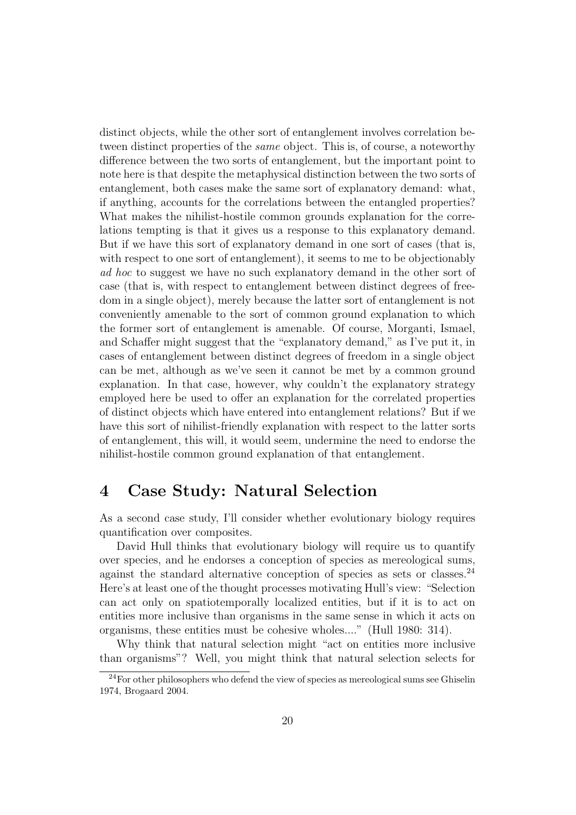distinct objects, while the other sort of entanglement involves correlation between distinct properties of the same object. This is, of course, a noteworthy difference between the two sorts of entanglement, but the important point to note here is that despite the metaphysical distinction between the two sorts of entanglement, both cases make the same sort of explanatory demand: what, if anything, accounts for the correlations between the entangled properties? What makes the nihilist-hostile common grounds explanation for the correlations tempting is that it gives us a response to this explanatory demand. But if we have this sort of explanatory demand in one sort of cases (that is, with respect to one sort of entanglement), it seems to me to be objectionably ad hoc to suggest we have no such explanatory demand in the other sort of case (that is, with respect to entanglement between distinct degrees of freedom in a single object), merely because the latter sort of entanglement is not conveniently amenable to the sort of common ground explanation to which the former sort of entanglement is amenable. Of course, Morganti, Ismael, and Schaffer might suggest that the "explanatory demand," as I've put it, in cases of entanglement between distinct degrees of freedom in a single object can be met, although as we've seen it cannot be met by a common ground explanation. In that case, however, why couldn't the explanatory strategy employed here be used to offer an explanation for the correlated properties of distinct objects which have entered into entanglement relations? But if we have this sort of nihilist-friendly explanation with respect to the latter sorts of entanglement, this will, it would seem, undermine the need to endorse the nihilist-hostile common ground explanation of that entanglement.

## 4 Case Study: Natural Selection

As a second case study, I'll consider whether evolutionary biology requires quantification over composites.

David Hull thinks that evolutionary biology will require us to quantify over species, and he endorses a conception of species as mereological sums, against the standard alternative conception of species as sets or classes.<sup>24</sup> Here's at least one of the thought processes motivating Hull's view: "Selection can act only on spatiotemporally localized entities, but if it is to act on entities more inclusive than organisms in the same sense in which it acts on organisms, these entities must be cohesive wholes...." (Hull 1980: 314).

Why think that natural selection might "act on entities more inclusive than organisms"? Well, you might think that natural selection selects for

 $24$ For other philosophers who defend the view of species as mereological sums see Ghiselin 1974, Brogaard 2004.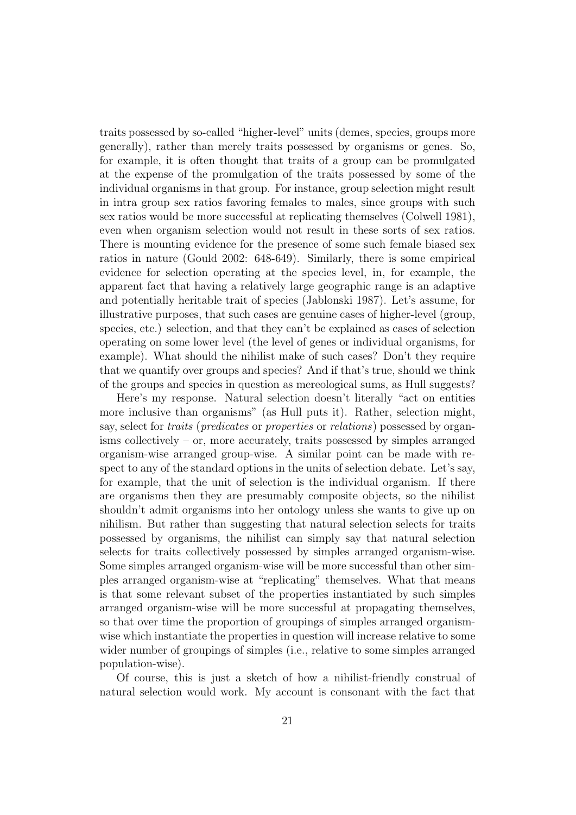traits possessed by so-called "higher-level" units (demes, species, groups more generally), rather than merely traits possessed by organisms or genes. So, for example, it is often thought that traits of a group can be promulgated at the expense of the promulgation of the traits possessed by some of the individual organisms in that group. For instance, group selection might result in intra group sex ratios favoring females to males, since groups with such sex ratios would be more successful at replicating themselves (Colwell 1981), even when organism selection would not result in these sorts of sex ratios. There is mounting evidence for the presence of some such female biased sex ratios in nature (Gould 2002: 648-649). Similarly, there is some empirical evidence for selection operating at the species level, in, for example, the apparent fact that having a relatively large geographic range is an adaptive and potentially heritable trait of species (Jablonski 1987). Let's assume, for illustrative purposes, that such cases are genuine cases of higher-level (group, species, etc.) selection, and that they can't be explained as cases of selection operating on some lower level (the level of genes or individual organisms, for example). What should the nihilist make of such cases? Don't they require that we quantify over groups and species? And if that's true, should we think of the groups and species in question as mereological sums, as Hull suggests?

Here's my response. Natural selection doesn't literally "act on entities more inclusive than organisms" (as Hull puts it). Rather, selection might, say, select for *traits* (*predicates* or *properties* or *relations*) possessed by organisms collectively – or, more accurately, traits possessed by simples arranged organism-wise arranged group-wise. A similar point can be made with respect to any of the standard options in the units of selection debate. Let's say, for example, that the unit of selection is the individual organism. If there are organisms then they are presumably composite objects, so the nihilist shouldn't admit organisms into her ontology unless she wants to give up on nihilism. But rather than suggesting that natural selection selects for traits possessed by organisms, the nihilist can simply say that natural selection selects for traits collectively possessed by simples arranged organism-wise. Some simples arranged organism-wise will be more successful than other simples arranged organism-wise at "replicating" themselves. What that means is that some relevant subset of the properties instantiated by such simples arranged organism-wise will be more successful at propagating themselves, so that over time the proportion of groupings of simples arranged organismwise which instantiate the properties in question will increase relative to some wider number of groupings of simples (i.e., relative to some simples arranged population-wise).

Of course, this is just a sketch of how a nihilist-friendly construal of natural selection would work. My account is consonant with the fact that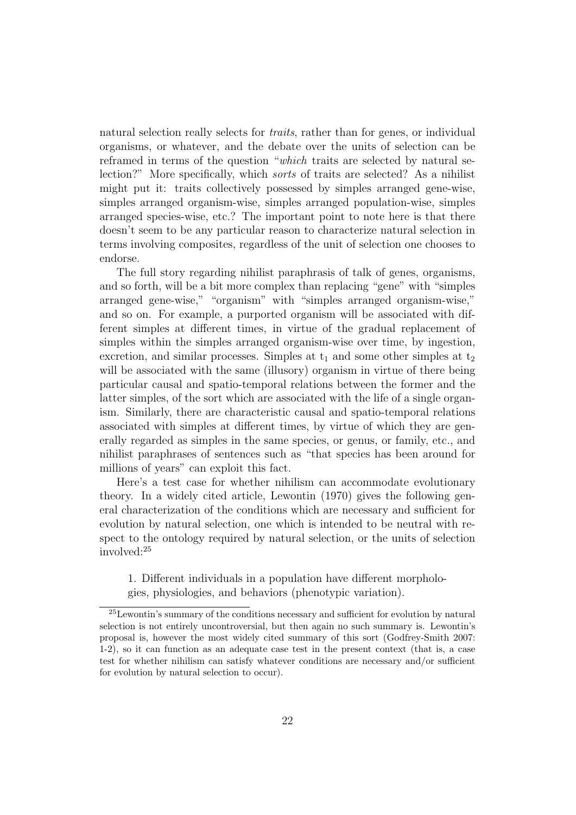natural selection really selects for *traits*, rather than for genes, or individual organisms, or whatever, and the debate over the units of selection can be reframed in terms of the question "which traits are selected by natural selection?" More specifically, which sorts of traits are selected? As a nihilist might put it: traits collectively possessed by simples arranged gene-wise, simples arranged organism-wise, simples arranged population-wise, simples arranged species-wise, etc.? The important point to note here is that there doesn't seem to be any particular reason to characterize natural selection in terms involving composites, regardless of the unit of selection one chooses to endorse.

The full story regarding nihilist paraphrasis of talk of genes, organisms, and so forth, will be a bit more complex than replacing "gene" with "simples arranged gene-wise," "organism" with "simples arranged organism-wise," and so on. For example, a purported organism will be associated with different simples at different times, in virtue of the gradual replacement of simples within the simples arranged organism-wise over time, by ingestion, excretion, and similar processes. Simples at  $t_1$  and some other simples at  $t_2$ will be associated with the same (illusory) organism in virtue of there being particular causal and spatio-temporal relations between the former and the latter simples, of the sort which are associated with the life of a single organism. Similarly, there are characteristic causal and spatio-temporal relations associated with simples at different times, by virtue of which they are generally regarded as simples in the same species, or genus, or family, etc., and nihilist paraphrases of sentences such as "that species has been around for millions of years" can exploit this fact.

Here's a test case for whether nihilism can accommodate evolutionary theory. In a widely cited article, Lewontin (1970) gives the following general characterization of the conditions which are necessary and sufficient for evolution by natural selection, one which is intended to be neutral with respect to the ontology required by natural selection, or the units of selection involved:<sup>25</sup>

1. Different individuals in a population have different morphologies, physiologies, and behaviors (phenotypic variation).

<sup>25</sup>Lewontin's summary of the conditions necessary and sufficient for evolution by natural selection is not entirely uncontroversial, but then again no such summary is. Lewontin's proposal is, however the most widely cited summary of this sort (Godfrey-Smith 2007: 1-2), so it can function as an adequate case test in the present context (that is, a case test for whether nihilism can satisfy whatever conditions are necessary and/or sufficient for evolution by natural selection to occur).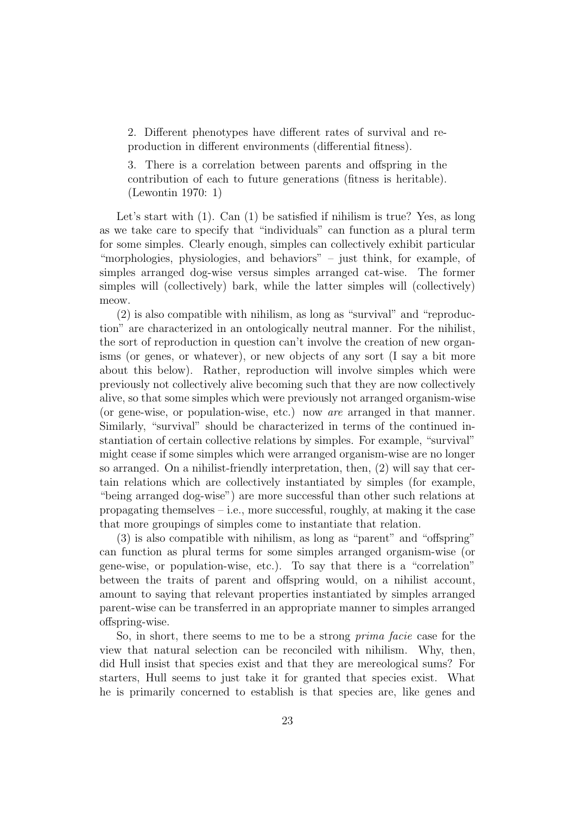2. Different phenotypes have different rates of survival and reproduction in different environments (differential fitness).

3. There is a correlation between parents and offspring in the contribution of each to future generations (fitness is heritable). (Lewontin 1970: 1)

Let's start with (1). Can (1) be satisfied if nihilism is true? Yes, as long as we take care to specify that "individuals" can function as a plural term for some simples. Clearly enough, simples can collectively exhibit particular "morphologies, physiologies, and behaviors" – just think, for example, of simples arranged dog-wise versus simples arranged cat-wise. The former simples will (collectively) bark, while the latter simples will (collectively) meow.

(2) is also compatible with nihilism, as long as "survival" and "reproduction" are characterized in an ontologically neutral manner. For the nihilist, the sort of reproduction in question can't involve the creation of new organisms (or genes, or whatever), or new objects of any sort (I say a bit more about this below). Rather, reproduction will involve simples which were previously not collectively alive becoming such that they are now collectively alive, so that some simples which were previously not arranged organism-wise (or gene-wise, or population-wise, etc.) now are arranged in that manner. Similarly, "survival" should be characterized in terms of the continued instantiation of certain collective relations by simples. For example, "survival" might cease if some simples which were arranged organism-wise are no longer so arranged. On a nihilist-friendly interpretation, then, (2) will say that certain relations which are collectively instantiated by simples (for example, "being arranged dog-wise") are more successful than other such relations at propagating themselves  $-$  i.e., more successful, roughly, at making it the case that more groupings of simples come to instantiate that relation.

(3) is also compatible with nihilism, as long as "parent" and "offspring" can function as plural terms for some simples arranged organism-wise (or gene-wise, or population-wise, etc.). To say that there is a "correlation" between the traits of parent and offspring would, on a nihilist account, amount to saying that relevant properties instantiated by simples arranged parent-wise can be transferred in an appropriate manner to simples arranged offspring-wise.

So, in short, there seems to me to be a strong prima facie case for the view that natural selection can be reconciled with nihilism. Why, then, did Hull insist that species exist and that they are mereological sums? For starters, Hull seems to just take it for granted that species exist. What he is primarily concerned to establish is that species are, like genes and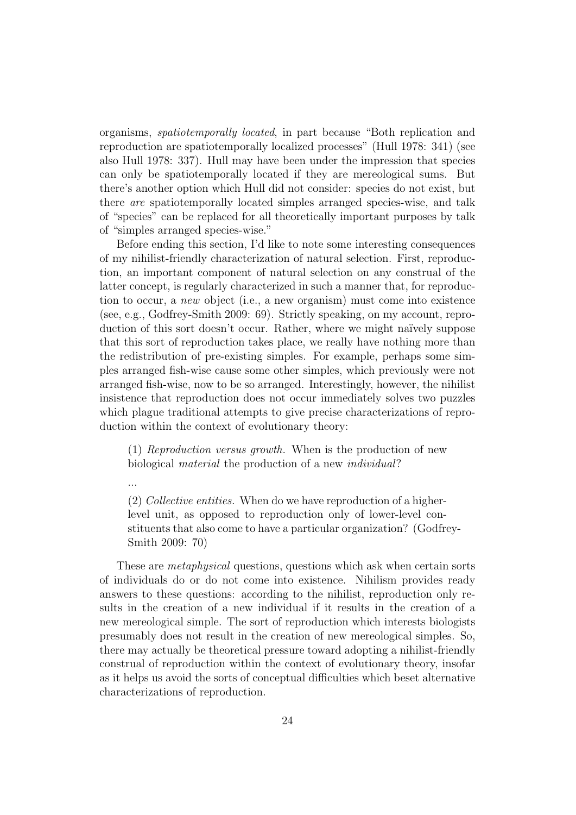organisms, spatiotemporally located, in part because "Both replication and reproduction are spatiotemporally localized processes" (Hull 1978: 341) (see also Hull 1978: 337). Hull may have been under the impression that species can only be spatiotemporally located if they are mereological sums. But there's another option which Hull did not consider: species do not exist, but there are spatiotemporally located simples arranged species-wise, and talk of "species" can be replaced for all theoretically important purposes by talk of "simples arranged species-wise."

Before ending this section, I'd like to note some interesting consequences of my nihilist-friendly characterization of natural selection. First, reproduction, an important component of natural selection on any construal of the latter concept, is regularly characterized in such a manner that, for reproduction to occur, a new object (i.e., a new organism) must come into existence (see, e.g., Godfrey-Smith 2009: 69). Strictly speaking, on my account, reproduction of this sort doesn't occur. Rather, where we might naïvely suppose that this sort of reproduction takes place, we really have nothing more than the redistribution of pre-existing simples. For example, perhaps some simples arranged fish-wise cause some other simples, which previously were not arranged fish-wise, now to be so arranged. Interestingly, however, the nihilist insistence that reproduction does not occur immediately solves two puzzles which plague traditional attempts to give precise characterizations of reproduction within the context of evolutionary theory:

(1) Reproduction versus growth. When is the production of new biological material the production of a new individual?

...

(2) Collective entities. When do we have reproduction of a higherlevel unit, as opposed to reproduction only of lower-level constituents that also come to have a particular organization? (Godfrey-Smith 2009: 70)

These are metaphysical questions, questions which ask when certain sorts of individuals do or do not come into existence. Nihilism provides ready answers to these questions: according to the nihilist, reproduction only results in the creation of a new individual if it results in the creation of a new mereological simple. The sort of reproduction which interests biologists presumably does not result in the creation of new mereological simples. So, there may actually be theoretical pressure toward adopting a nihilist-friendly construal of reproduction within the context of evolutionary theory, insofar as it helps us avoid the sorts of conceptual difficulties which beset alternative characterizations of reproduction.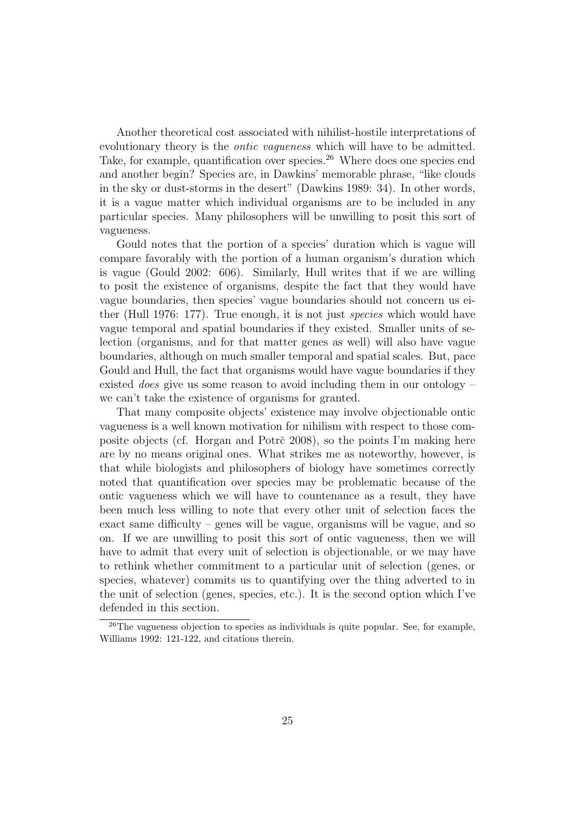Another theoretical cost associated with nihilist-hostile interpretations of evolutionary theory is the *ontic vagueness* which will have to be admitted. Take, for example, quantification over species.<sup>26</sup> Where does one species end and another begin? Species are, in Dawkins' memorable phrase, "like clouds in the sky or dust-storms in the desert" (Dawkins 1989: 34). In other words, it is a vague matter which individual organisms are to be included in any particular species. Many philosophers will be unwilling to posit this sort of vagueness.

Gould notes that the portion of a species' duration which is vague will compare favorably with the portion of a human organism's duration which is vague (Gould 2002: 606). Similarly, Hull writes that if we are willing to posit the existence of organisms, despite the fact that they would have vague boundaries, then species' vague boundaries should not concern us either (Hull 1976: 177). True enough, it is not just species which would have vague temporal and spatial boundaries if they existed. Smaller units of selection (organisms, and for that matter genes as well) will also have vague boundaries, although on much smaller temporal and spatial scales. But, pace Gould and Hull, the fact that organisms would have vague boundaries if they existed *does* give us some reason to avoid including them in our ontology – we can't take the existence of organisms for granted.

That many composite objects' existence may involve objectionable ontic vagueness is a well known motivation for nihilism with respect to those composite objects (cf. Horgan and Potrč 2008), so the points I'm making here are by no means original ones. What strikes me as noteworthy, however, is that while biologists and philosophers of biology have sometimes correctly noted that quantification over species may be problematic because of the ontic vagueness which we will have to countenance as a result, they have been much less willing to note that every other unit of selection faces the exact same difficulty – genes will be vague, organisms will be vague, and so on. If we are unwilling to posit this sort of ontic vagueness, then we will have to admit that every unit of selection is objectionable, or we may have to rethink whether commitment to a particular unit of selection (genes, or species, whatever) commits us to quantifying over the thing adverted to in the unit of selection (genes, species, etc.). It is the second option which I've defended in this section.

<sup>&</sup>lt;sup>26</sup>The vagueness objection to species as individuals is quite popular. See, for example, Williams 1992: 121-122, and citations therein.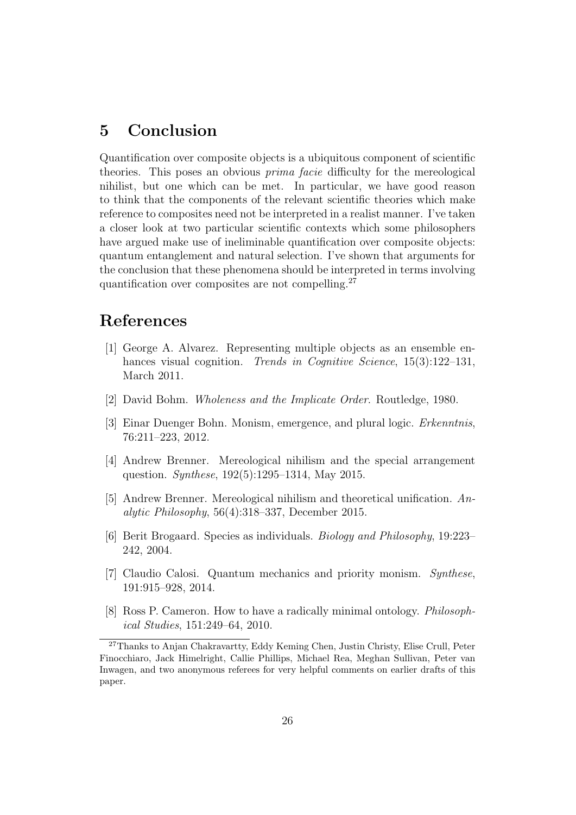## 5 Conclusion

Quantification over composite objects is a ubiquitous component of scientific theories. This poses an obvious prima facie difficulty for the mereological nihilist, but one which can be met. In particular, we have good reason to think that the components of the relevant scientific theories which make reference to composites need not be interpreted in a realist manner. I've taken a closer look at two particular scientific contexts which some philosophers have argued make use of ineliminable quantification over composite objects: quantum entanglement and natural selection. I've shown that arguments for the conclusion that these phenomena should be interpreted in terms involving quantification over composites are not compelling.<sup>27</sup>

## References

- [1] George A. Alvarez. Representing multiple objects as an ensemble enhances visual cognition. Trends in Cognitive Science, 15(3):122–131, March 2011.
- [2] David Bohm. Wholeness and the Implicate Order. Routledge, 1980.
- [3] Einar Duenger Bohn. Monism, emergence, and plural logic. Erkenntnis, 76:211–223, 2012.
- [4] Andrew Brenner. Mereological nihilism and the special arrangement question. Synthese, 192(5):1295–1314, May 2015.
- [5] Andrew Brenner. Mereological nihilism and theoretical unification. Analytic Philosophy, 56(4):318–337, December 2015.
- [6] Berit Brogaard. Species as individuals. Biology and Philosophy, 19:223– 242, 2004.
- [7] Claudio Calosi. Quantum mechanics and priority monism. Synthese, 191:915–928, 2014.
- [8] Ross P. Cameron. How to have a radically minimal ontology. Philosophical Studies, 151:249–64, 2010.

<sup>27</sup>Thanks to Anjan Chakravartty, Eddy Keming Chen, Justin Christy, Elise Crull, Peter Finocchiaro, Jack Himelright, Callie Phillips, Michael Rea, Meghan Sullivan, Peter van Inwagen, and two anonymous referees for very helpful comments on earlier drafts of this paper.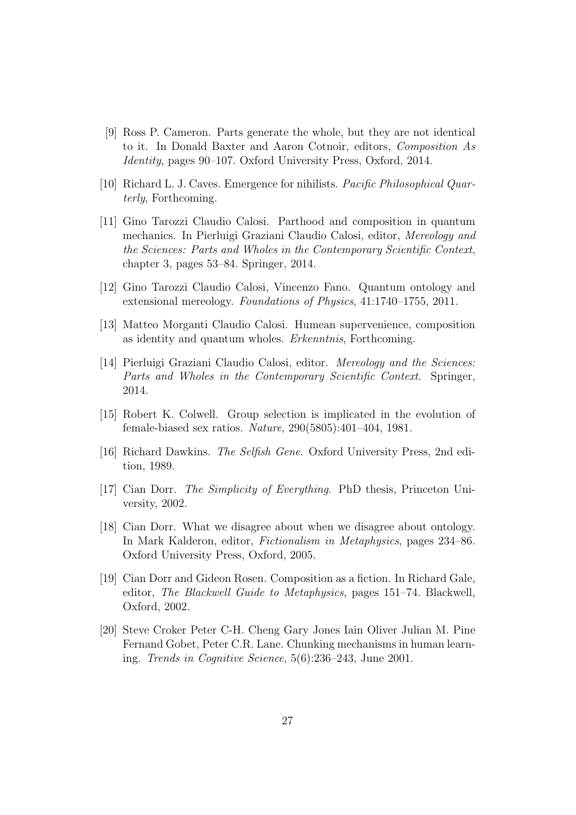- [9] Ross P. Cameron. Parts generate the whole, but they are not identical to it. In Donald Baxter and Aaron Cotnoir, editors, Composition As Identity, pages 90–107. Oxford University Press, Oxford, 2014.
- [10] Richard L. J. Caves. Emergence for nihilists. Pacific Philosophical Quarterly, Forthcoming.
- [11] Gino Tarozzi Claudio Calosi. Parthood and composition in quantum mechanics. In Pierluigi Graziani Claudio Calosi, editor, Mereology and the Sciences: Parts and Wholes in the Contemporary Scientific Context, chapter 3, pages 53–84. Springer, 2014.
- [12] Gino Tarozzi Claudio Calosi, Vincenzo Fano. Quantum ontology and extensional mereology. Foundations of Physics, 41:1740–1755, 2011.
- [13] Matteo Morganti Claudio Calosi. Humean supervenience, composition as identity and quantum wholes. Erkenntnis, Forthcoming.
- [14] Pierluigi Graziani Claudio Calosi, editor. Mereology and the Sciences: Parts and Wholes in the Contemporary Scientific Context. Springer, 2014.
- [15] Robert K. Colwell. Group selection is implicated in the evolution of female-biased sex ratios. Nature, 290(5805):401–404, 1981.
- [16] Richard Dawkins. The Selfish Gene. Oxford University Press, 2nd edition, 1989.
- [17] Cian Dorr. The Simplicity of Everything. PhD thesis, Princeton University, 2002.
- [18] Cian Dorr. What we disagree about when we disagree about ontology. In Mark Kalderon, editor, Fictionalism in Metaphysics, pages 234–86. Oxford University Press, Oxford, 2005.
- [19] Cian Dorr and Gideon Rosen. Composition as a fiction. In Richard Gale, editor, The Blackwell Guide to Metaphysics, pages 151–74. Blackwell, Oxford, 2002.
- [20] Steve Croker Peter C-H. Cheng Gary Jones Iain Oliver Julian M. Pine Fernand Gobet, Peter C.R. Lane. Chunking mechanisms in human learning. Trends in Cognitive Science, 5(6):236–243, June 2001.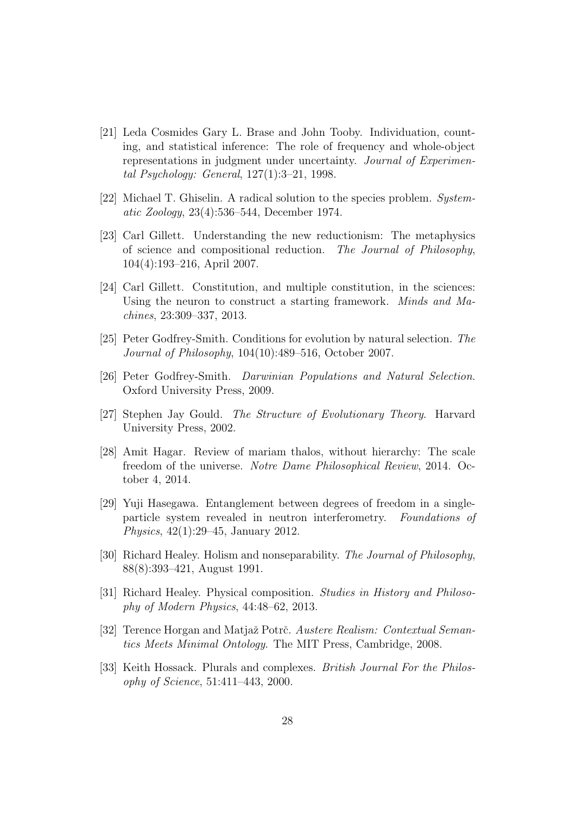- [21] Leda Cosmides Gary L. Brase and John Tooby. Individuation, counting, and statistical inference: The role of frequency and whole-object representations in judgment under uncertainty. Journal of Experimental Psychology: General, 127(1):3–21, 1998.
- [22] Michael T. Ghiselin. A radical solution to the species problem. Systematic Zoology, 23(4):536–544, December 1974.
- [23] Carl Gillett. Understanding the new reductionism: The metaphysics of science and compositional reduction. The Journal of Philosophy, 104(4):193–216, April 2007.
- [24] Carl Gillett. Constitution, and multiple constitution, in the sciences: Using the neuron to construct a starting framework. Minds and Machines, 23:309–337, 2013.
- [25] Peter Godfrey-Smith. Conditions for evolution by natural selection. The Journal of Philosophy, 104(10):489–516, October 2007.
- [26] Peter Godfrey-Smith. Darwinian Populations and Natural Selection. Oxford University Press, 2009.
- [27] Stephen Jay Gould. The Structure of Evolutionary Theory. Harvard University Press, 2002.
- [28] Amit Hagar. Review of mariam thalos, without hierarchy: The scale freedom of the universe. Notre Dame Philosophical Review, 2014. October 4, 2014.
- [29] Yuji Hasegawa. Entanglement between degrees of freedom in a singleparticle system revealed in neutron interferometry. Foundations of Physics, 42(1):29–45, January 2012.
- [30] Richard Healey. Holism and nonseparability. The Journal of Philosophy, 88(8):393–421, August 1991.
- [31] Richard Healey. Physical composition. Studies in History and Philosophy of Modern Physics, 44:48–62, 2013.
- [32] Terence Horgan and Matjaž Potrč. Austere Realism: Contextual Semantics Meets Minimal Ontology. The MIT Press, Cambridge, 2008.
- [33] Keith Hossack. Plurals and complexes. British Journal For the Philosophy of Science, 51:411–443, 2000.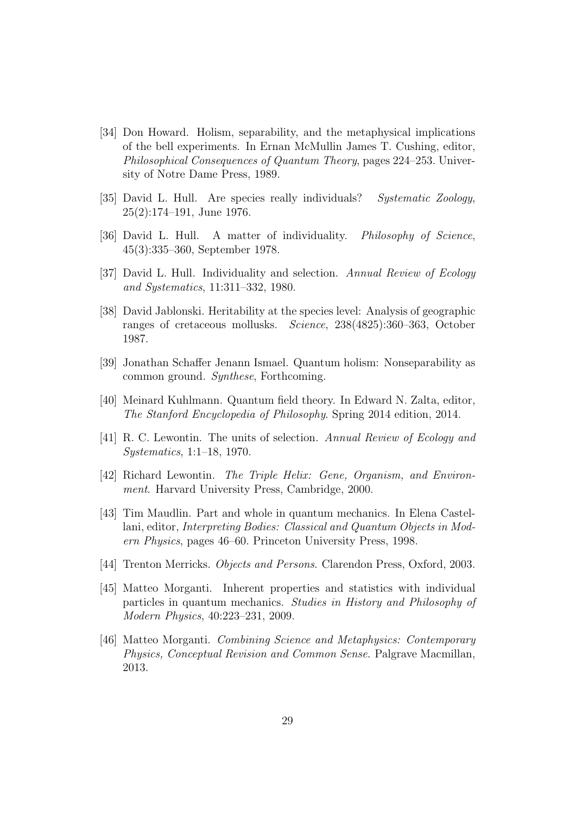- [34] Don Howard. Holism, separability, and the metaphysical implications of the bell experiments. In Ernan McMullin James T. Cushing, editor, Philosophical Consequences of Quantum Theory, pages 224–253. University of Notre Dame Press, 1989.
- [35] David L. Hull. Are species really individuals? Systematic Zoology, 25(2):174–191, June 1976.
- [36] David L. Hull. A matter of individuality. Philosophy of Science, 45(3):335–360, September 1978.
- [37] David L. Hull. Individuality and selection. Annual Review of Ecology and Systematics, 11:311–332, 1980.
- [38] David Jablonski. Heritability at the species level: Analysis of geographic ranges of cretaceous mollusks. Science, 238(4825):360–363, October 1987.
- [39] Jonathan Schaffer Jenann Ismael. Quantum holism: Nonseparability as common ground. Synthese, Forthcoming.
- [40] Meinard Kuhlmann. Quantum field theory. In Edward N. Zalta, editor, The Stanford Encyclopedia of Philosophy. Spring 2014 edition, 2014.
- [41] R. C. Lewontin. The units of selection. Annual Review of Ecology and Systematics, 1:1–18, 1970.
- [42] Richard Lewontin. The Triple Helix: Gene, Organism, and Environment. Harvard University Press, Cambridge, 2000.
- [43] Tim Maudlin. Part and whole in quantum mechanics. In Elena Castellani, editor, Interpreting Bodies: Classical and Quantum Objects in Modern Physics, pages 46–60. Princeton University Press, 1998.
- [44] Trenton Merricks. Objects and Persons. Clarendon Press, Oxford, 2003.
- [45] Matteo Morganti. Inherent properties and statistics with individual particles in quantum mechanics. Studies in History and Philosophy of Modern Physics, 40:223–231, 2009.
- [46] Matteo Morganti. Combining Science and Metaphysics: Contemporary Physics, Conceptual Revision and Common Sense. Palgrave Macmillan, 2013.